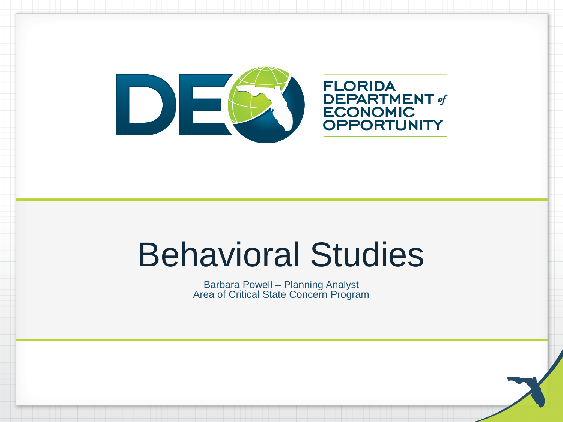

**FLORIDA DEPARTMENT of**<br>ECONOMIC OPPORTUNITY

### Behavioral Studies

Barbara Powell – Planning Analyst Area of Critical State Concern Program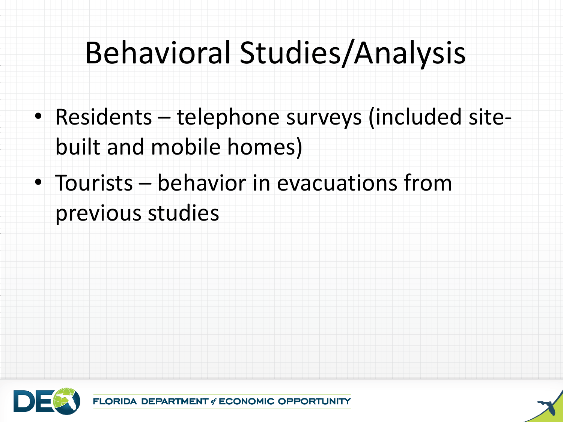### Behavioral Studies/Analysis

- Residents telephone surveys (included sitebuilt and mobile homes)
- Tourists behavior in evacuations from previous studies



**IT of ECONOMIC OPPORTUNITY** 

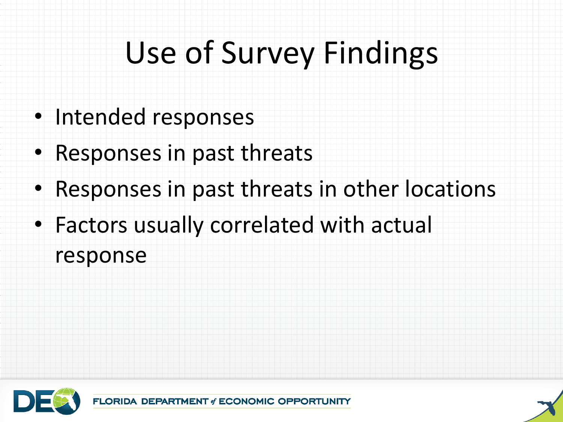# Use of Survey Findings

- Intended responses
- Responses in past threats
- Responses in past threats in other locations
- Factors usually correlated with actual response



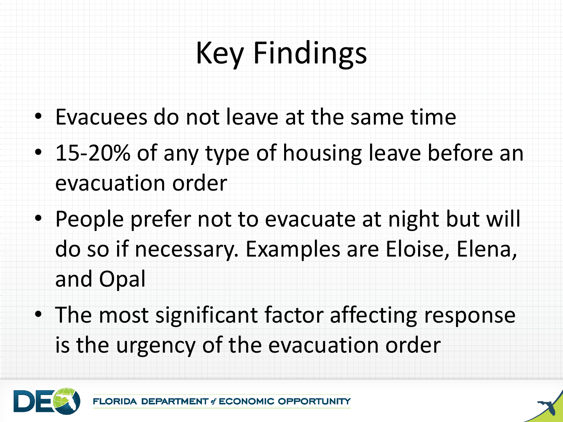# Key Findings

- Evacuees do not leave at the same time
- 15-20% of any type of housing leave before an evacuation order
- People prefer not to evacuate at night but will do so if necessary. Examples are Eloise, Elena, and Opal
- The most significant factor affecting response is the urgency of the evacuation order

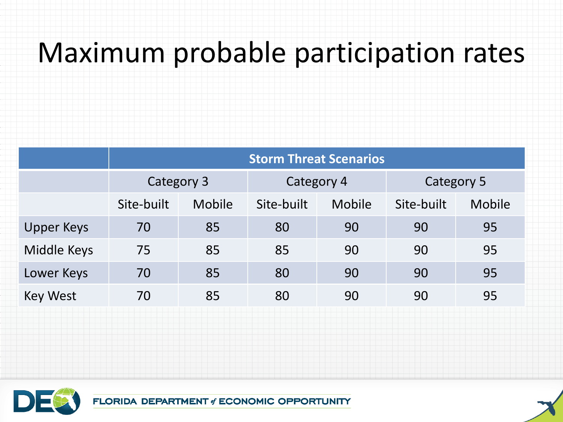#### Maximum probable participation rates

|                   | <b>Storm Threat Scenarios</b> |        |            |        |            |        |
|-------------------|-------------------------------|--------|------------|--------|------------|--------|
|                   | Category 3                    |        | Category 4 |        | Category 5 |        |
|                   | Site-built                    | Mobile | Site-built | Mobile | Site-built | Mobile |
| <b>Upper Keys</b> | 70                            | 85     | 80         | 90     | 90         | 95     |
| Middle Keys       | 75                            | 85     | 85         | 90     | 90         | 95     |
| Lower Keys        | 70                            | 85     | 80         | 90     | 90         | 95     |
| <b>Key West</b>   | 70                            | 85     | 80         | 90     | 90         | 95     |



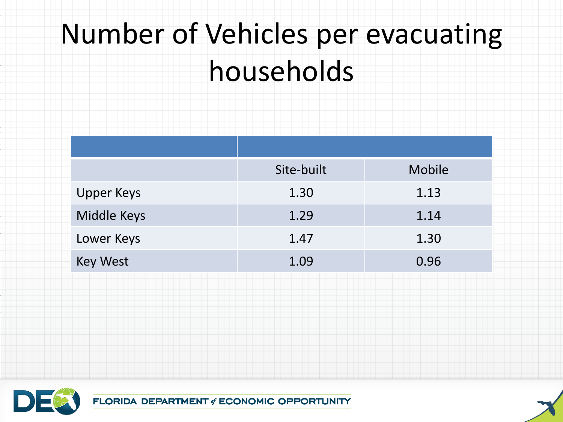### Number of Vehicles per evacuating households

|                   | Site-built | Mobile |
|-------------------|------------|--------|
| <b>Upper Keys</b> | 1.30       | 1.13   |
| Middle Keys       | 1.29       | 1.14   |
| Lower Keys        | 1.47       | 1.30   |
| <b>Key West</b>   | 1.09       | 0.96   |



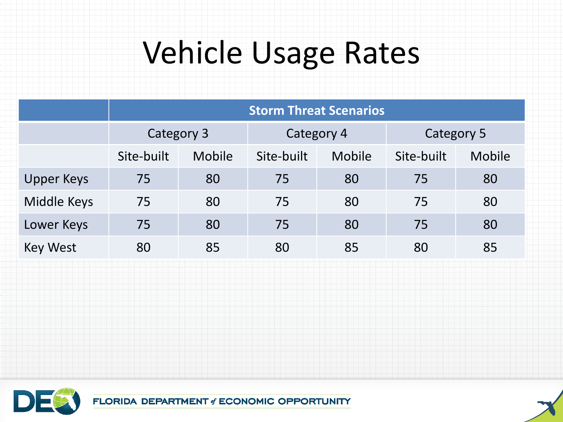#### Vehicle Usage Rates

| <b>Storm Threat Scenarios</b> |        |            |        |            |        |
|-------------------------------|--------|------------|--------|------------|--------|
| Category 3                    |        | Category 4 |        | Category 5 |        |
| Site-built                    | Mobile | Site-built | Mobile | Site-built | Mobile |
| 75                            | 80     | 75         | 80     | 75         | 80     |
| 75                            | 80     | 75         | 80     | 75         | 80     |
| 75                            | 80     | 75         | 80     | 75         | 80     |
| 80                            | 85     | 80         | 85     | 80         | 85     |
|                               |        |            |        |            |        |



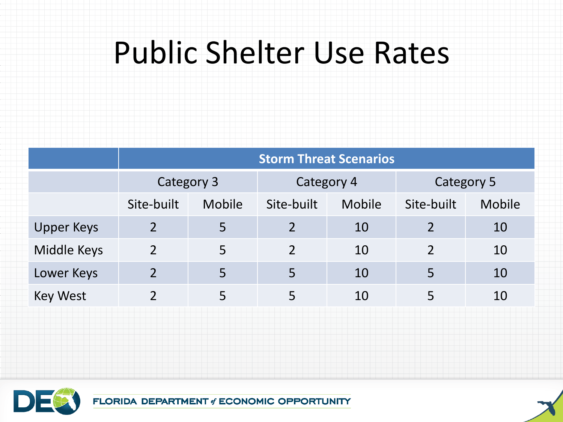#### Public Shelter Use Rates

|                   | <b>Storm Threat Scenarios</b> |               |                          |        |            |        |
|-------------------|-------------------------------|---------------|--------------------------|--------|------------|--------|
|                   | Category 3                    |               | Category 4               |        | Category 5 |        |
|                   | Site-built                    | <b>Mobile</b> | Site-built               | Mobile | Site-built | Mobile |
| <b>Upper Keys</b> | $\overline{2}$                | 5             | $\overline{\phantom{a}}$ | 10     |            | 10     |
| Middle Keys       | $\overline{2}$                | 5             | $\overline{2}$           | 10     |            | 10     |
| Lower Keys        | 2                             | 5             | 5                        | 10     | 5          | 10     |
| <b>Key West</b>   | າ                             | 5             | 5                        | 10     | 5          | 10     |



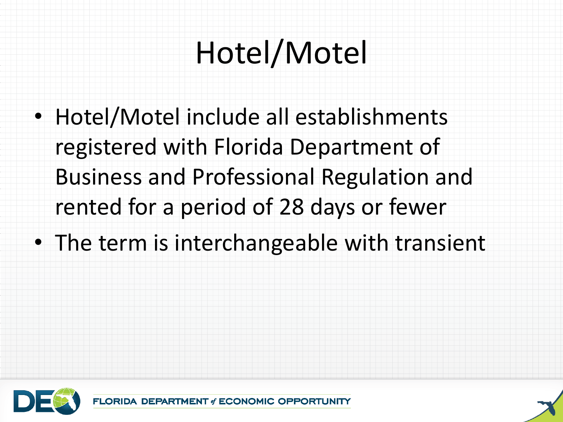# Hotel/Motel

- Hotel/Motel include all establishments registered with Florida Department of Business and Professional Regulation and rented for a period of 28 days or fewer
- The term is interchangeable with transient



**DEPARTMENT of ECONOMIC OPPORTUNITY** 

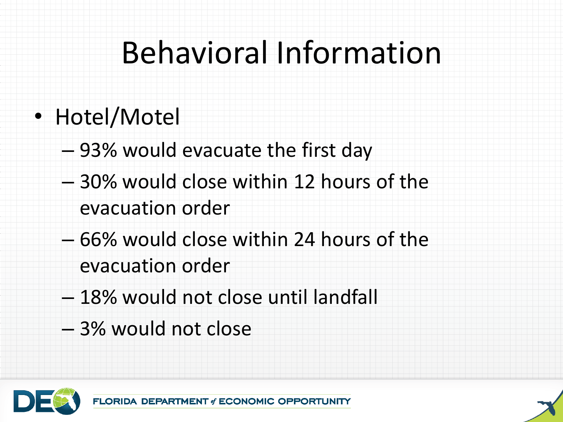## Behavioral Information

- Hotel/Motel
	- 93% would evacuate the first day
	- 30% would close within 12 hours of the evacuation order
	- 66% would close within 24 hours of the evacuation order
	- 18% would not close until landfall
	- 3% would not close

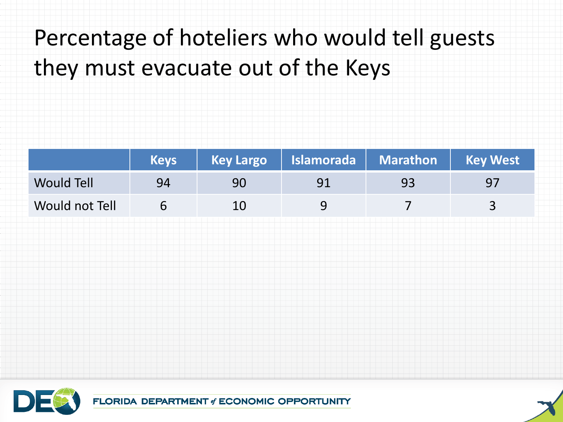#### Percentage of hoteliers who would tell guests they must evacuate out of the Keys

|                | <b>Keys</b> |    | Key Largo   Islamorada   Marathon   Key West |    |    |
|----------------|-------------|----|----------------------------------------------|----|----|
| Would Tell     | 94          | 90 |                                              | 93 | 97 |
| Would not Tell |             | 10 |                                              |    |    |